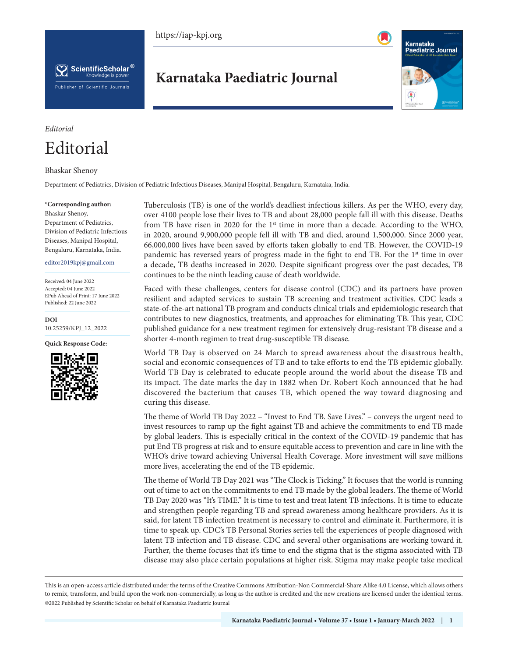https://iap-kpj.org





# **Karnataka Paediatric Journal**



## *Editorial*

# Editorial

### Bhaskar Shenoy

Department of Pediatrics, Division of Pediatric Infectious Diseases, Manipal Hospital, Bengaluru, Karnataka, India.

#### **\*Corresponding author:**

Bhaskar Shenoy, Department of Pediatrics, Division of Pediatric Infectious Diseases, Manipal Hospital, Bengaluru, Karnataka, India.

#### editor2019kpj@gmail.com

Received: 04 June 2022 Accepted: 04 June 2022 EPub Ahead of Print: 17 June 2022 Published: 22 June 2022

**DOI** [10.25259/KPJ\\_12\\_2022](https://dx.doi.org/10.25259/KPJ_12_2022)

**Quick Response Code:**



Tuberculosis (TB) is one of the world's deadliest infectious killers. As per the WHO, every day, over 4100 people lose their lives to TB and about 28,000 people fall ill with this disease. Deaths from TB have risen in 2020 for the  $1<sup>st</sup>$  time in more than a decade. According to the WHO, in 2020, around 9,900,000 people fell ill with TB and died, around 1,500,000. Since 2000 year, 66,000,000 lives have been saved by efforts taken globally to end TB. However, the COVID-19 pandemic has reversed years of progress made in the fight to end TB. For the 1<sup>st</sup> time in over a decade, TB deaths increased in 2020. Despite significant progress over the past decades, TB continues to be the ninth leading cause of death worldwide.

Faced with these challenges, centers for disease control (CDC) and its partners have proven resilient and adapted services to sustain TB screening and treatment activities. CDC leads a state-of-the-art national TB program and conducts clinical trials and epidemiologic research that contributes to new diagnostics, treatments, and approaches for eliminating TB. This year, CDC published guidance for a new treatment regimen for extensively drug-resistant TB disease and a shorter 4-month regimen to treat drug-susceptible TB disease.

World TB Day is observed on 24 March to spread awareness about the disastrous health, social and economic consequences of TB and to take efforts to end the TB epidemic globally. World TB Day is celebrated to educate people around the world about the disease TB and its impact. The date marks the day in 1882 when Dr. Robert Koch announced that he had discovered the bacterium that causes TB, which opened the way toward diagnosing and curing this disease.

The theme of World TB Day 2022 – "Invest to End TB. Save Lives." – conveys the urgent need to invest resources to ramp up the fight against TB and achieve the commitments to end TB made by global leaders. This is especially critical in the context of the COVID-19 pandemic that has put End TB progress at risk and to ensure equitable access to prevention and care in line with the WHO's drive toward achieving Universal Health Coverage. More investment will save millions more lives, accelerating the end of the TB epidemic.

The theme of World TB Day 2021 was "The Clock is Ticking." It focuses that the world is running out of time to act on the commitments to end TB made by the global leaders. The theme of World TB Day 2020 was "It's TIME." It is time to test and treat latent TB infections. It is time to educate and strengthen people regarding TB and spread awareness among healthcare providers. As it is said, for latent TB infection treatment is necessary to control and eliminate it. Furthermore, it is time to speak up. CDC's TB Personal Stories series tell the experiences of people diagnosed with latent TB infection and TB disease. CDC and several other organisations are working toward it. Further, the theme focuses that it's time to end the stigma that is the stigma associated with TB disease may also place certain populations at higher risk. Stigma may make people take medical

This is an open-access article distributed under the terms of the Creative Commons Attribution-Non Commercial-Share Alike 4.0 License, which allows others to remix, transform, and build upon the work non-commercially, as long as the author is credited and the new creations are licensed under the identical terms. ©2022 Published by Scientific Scholar on behalf of Karnataka Paediatric Journal